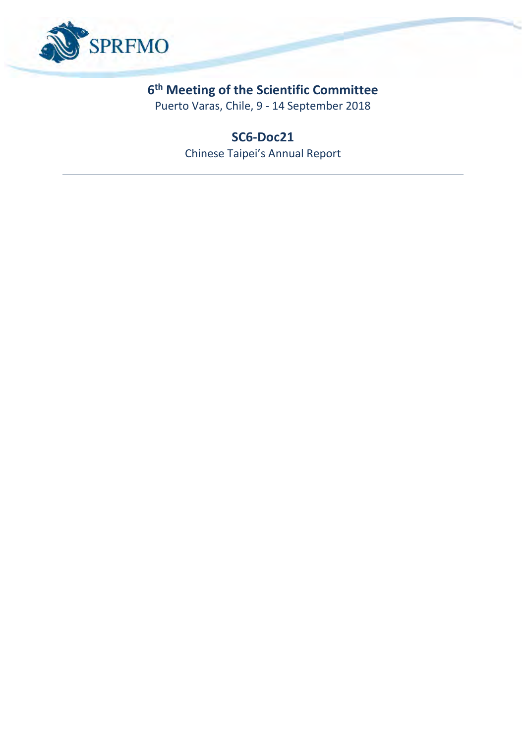

# **6 th Meeting of the Scientific Committee**

Puerto Varas, Chile, 9 - 14 September 2018

**SC6-Doc21** Chinese Taipei's Annual Report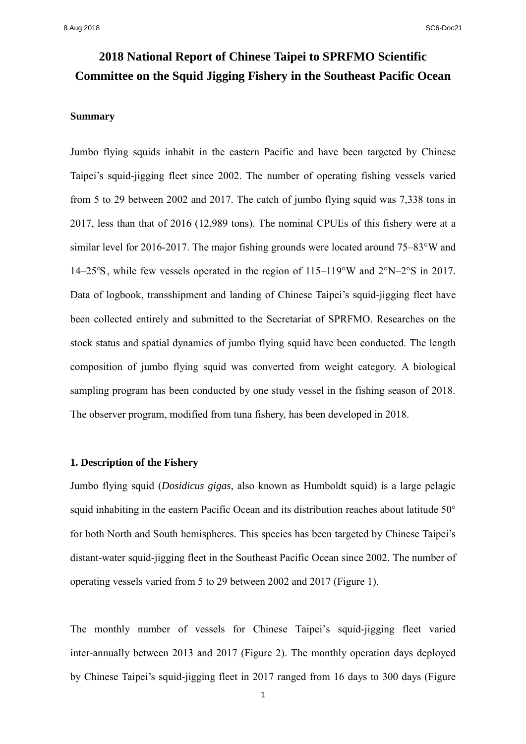# **2018 National Report of Chinese Taipei to SPRFMO Scientific Committee on the Squid Jigging Fishery in the Southeast Pacific Ocean**

## **Summary**

Jumbo flying squids inhabit in the eastern Pacific and have been targeted by Chinese Taipei's squid-jigging fleet since 2002. The number of operating fishing vessels varied from 5 to 29 between 2002 and 2017. The catch of jumbo flying squid was 7,338 tons in 2017, less than that of 2016 (12,989 tons). The nominal CPUEs of this fishery were at a similar level for 2016-2017. The major fishing grounds were located around 75–83°W and 14–25°S, while few vessels operated in the region of 115–119°W and 2°N–2°S in 2017. Data of logbook, transshipment and landing of Chinese Taipei's squid-jigging fleet have been collected entirely and submitted to the Secretariat of SPRFMO. Researches on the stock status and spatial dynamics of jumbo flying squid have been conducted. The length composition of jumbo flying squid was converted from weight category. A biological sampling program has been conducted by one study vessel in the fishing season of 2018. The observer program, modified from tuna fishery, has been developed in 2018.

## **1. Description of the Fishery**

Jumbo flying squid (*Dosidicus gigas*, also known as Humboldt squid) is a large pelagic squid inhabiting in the eastern Pacific Ocean and its distribution reaches about latitude 50° for both North and South hemispheres. This species has been targeted by Chinese Taipei's distant-water squid-jigging fleet in the Southeast Pacific Ocean since 2002. The number of operating vessels varied from 5 to 29 between 2002 and 2017 (Figure 1).

The monthly number of vessels for Chinese Taipei's squid-jigging fleet varied inter-annually between 2013 and 2017 (Figure 2). The monthly operation days deployed by Chinese Taipei's squid-jigging fleet in 2017 ranged from 16 days to 300 days (Figure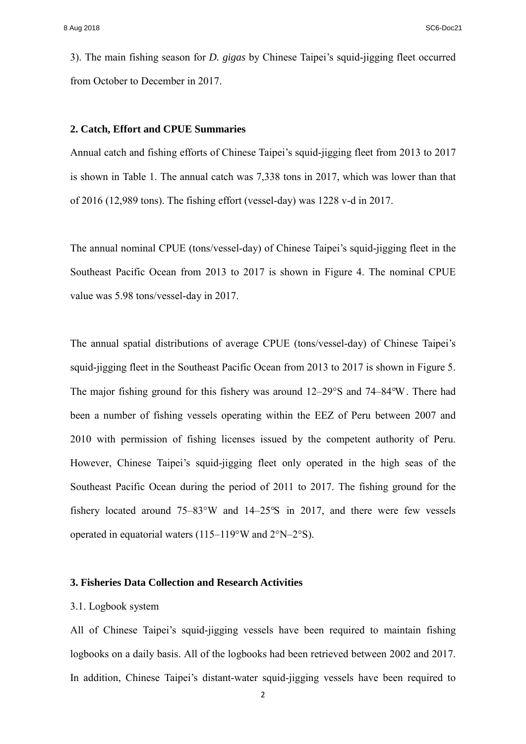3). The main fishing season for *D. gigas* by Chinese Taipei's squid-jigging fleet occurred from October to December in 2017.

#### **2. Catch, Effort and CPUE Summaries**

Annual catch and fishing efforts of Chinese Taipei's squid-jigging fleet from 2013 to 2017 is shown in Table 1. The annual catch was 7,338 tons in 2017, which was lower than that of 2016 (12,989 tons). The fishing effort (vessel-day) was 1228 v-d in 2017.

The annual nominal CPUE (tons/vessel-day) of Chinese Taipei's squid-jigging fleet in the Southeast Pacific Ocean from 2013 to 2017 is shown in Figure 4. The nominal CPUE value was 5.98 tons/vessel-day in 2017.

The annual spatial distributions of average CPUE (tons/vessel-day) of Chinese Taipei's squid-jigging fleet in the Southeast Pacific Ocean from 2013 to 2017 is shown in Figure 5. The major fishing ground for this fishery was around 12–29°S and 74–84°W. There had been a number of fishing vessels operating within the EEZ of Peru between 2007 and 2010 with permission of fishing licenses issued by the competent authority of Peru. However, Chinese Taipei's squid-jigging fleet only operated in the high seas of the Southeast Pacific Ocean during the period of 2011 to 2017. The fishing ground for the fishery located around 75–83°W and 14–25°S in 2017, and there were few vessels operated in equatorial waters (115–119°W and 2°N–2°S).

## **3. Fisheries Data Collection and Research Activities**

## 3.1. Logbook system

All of Chinese Taipei's squid-jigging vessels have been required to maintain fishing logbooks on a daily basis. All of the logbooks had been retrieved between 2002 and 2017. In addition, Chinese Taipei's distant-water squid-jigging vessels have been required to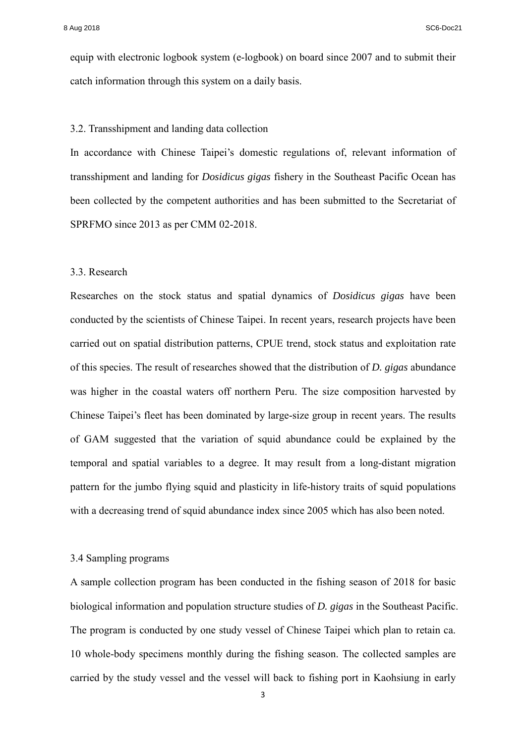equip with electronic logbook system (e-logbook) on board since 2007 and to submit their catch information through this system on a daily basis.

#### 3.2. Transshipment and landing data collection

In accordance with Chinese Taipei's domestic regulations of, relevant information of transshipment and landing for *Dosidicus gigas* fishery in the Southeast Pacific Ocean has been collected by the competent authorities and has been submitted to the Secretariat of SPRFMO since 2013 as per CMM 02-2018.

#### 3.3. Research

Researches on the stock status and spatial dynamics of *Dosidicus gigas* have been conducted by the scientists of Chinese Taipei. In recent years, research projects have been carried out on spatial distribution patterns, CPUE trend, stock status and exploitation rate of this species. The result of researches showed that the distribution of *D. gigas* abundance was higher in the coastal waters off northern Peru. The size composition harvested by Chinese Taipei's fleet has been dominated by large-size group in recent years. The results of GAM suggested that the variation of squid abundance could be explained by the temporal and spatial variables to a degree. It may result from a long-distant migration pattern for the jumbo flying squid and plasticity in life-history traits of squid populations with a decreasing trend of squid abundance index since 2005 which has also been noted.

## 3.4 Sampling programs

A sample collection program has been conducted in the fishing season of 2018 for basic biological information and population structure studies of *D. gigas* in the Southeast Pacific. The program is conducted by one study vessel of Chinese Taipei which plan to retain ca. 10 whole-body specimens monthly during the fishing season. The collected samples are carried by the study vessel and the vessel will back to fishing port in Kaohsiung in early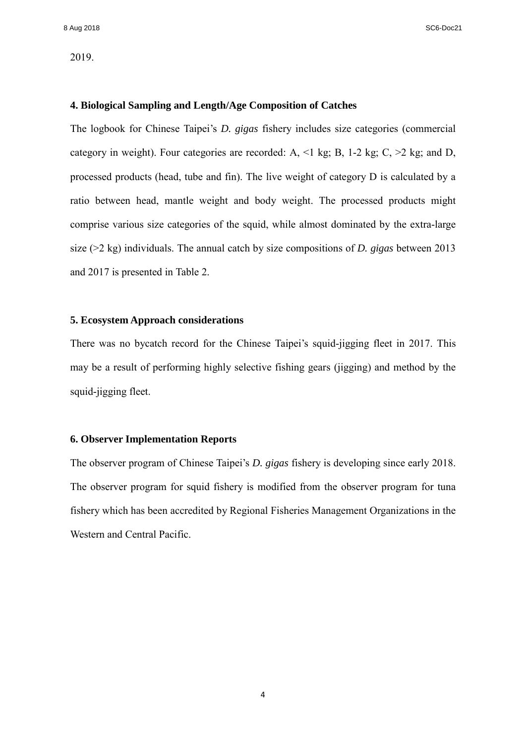## 2019.

## **4. Biological Sampling and Length/Age Composition of Catches**

The logbook for Chinese Taipei's *D. gigas* fishery includes size categories (commercial category in weight). Four categories are recorded: A,  $\leq 1$  kg; B, 1-2 kg; C,  $\geq 2$  kg; and D, processed products (head, tube and fin). The live weight of category D is calculated by a ratio between head, mantle weight and body weight. The processed products might comprise various size categories of the squid, while almost dominated by the extra-large size (>2 kg) individuals. The annual catch by size compositions of *D. gigas* between 2013 and 2017 is presented in Table 2.

## **5. Ecosystem Approach considerations**

There was no bycatch record for the Chinese Taipei's squid-jigging fleet in 2017. This may be a result of performing highly selective fishing gears (jigging) and method by the squid-jigging fleet.

### **6. Observer Implementation Reports**

The observer program of Chinese Taipei's *D. gigas* fishery is developing since early 2018. The observer program for squid fishery is modified from the observer program for tuna fishery which has been accredited by Regional Fisheries Management Organizations in the Western and Central Pacific.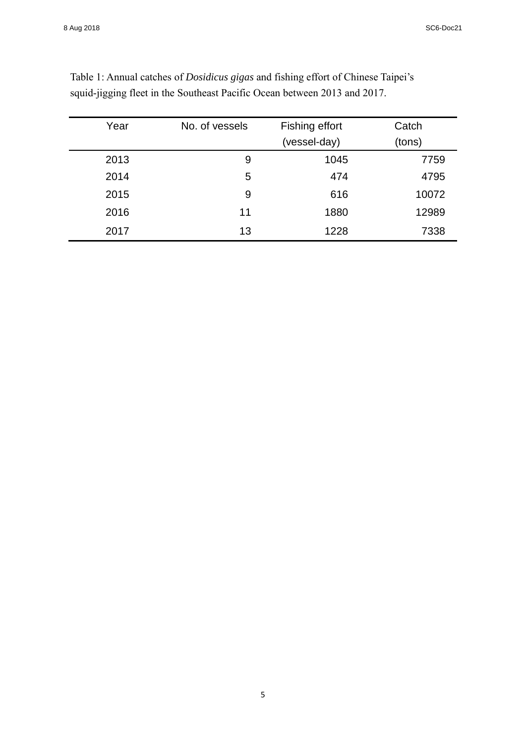| Year | No. of vessels | Fishing effort | Catch  |
|------|----------------|----------------|--------|
|      |                | (vessel-day)   | (tons) |
| 2013 | 9              | 1045           | 7759   |
| 2014 | 5              | 474            | 4795   |
| 2015 | 9              | 616            | 10072  |
| 2016 | 11             | 1880           | 12989  |
| 2017 | 13             | 1228           | 7338   |

Table 1: Annual catches of *Dosidicus gigas* and fishing effort of Chinese Taipei's squid-jigging fleet in the Southeast Pacific Ocean between 2013 and 2017.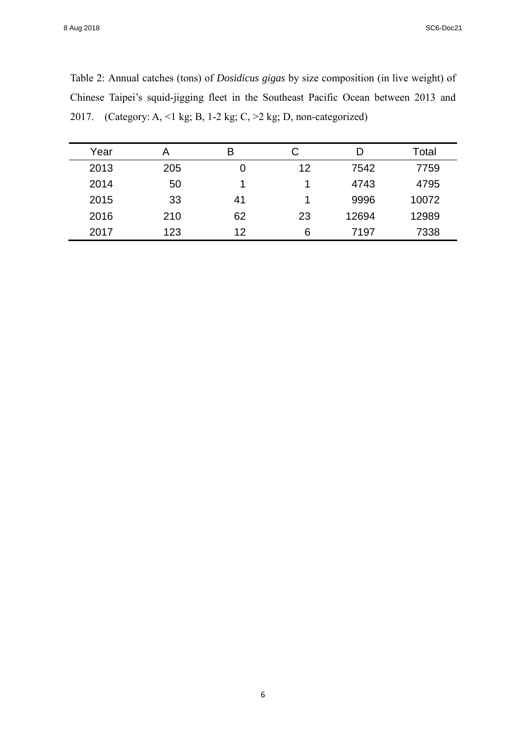8 Aug 2018 SC6-Doc21

| Table 2: Annual catches (tons) of <i>Dosidicus gigas</i> by size composition (in live weight) of |
|--------------------------------------------------------------------------------------------------|
| Chinese Taipei's squid-jigging fleet in the Southeast Pacific Ocean between 2013 and             |
| 2017. (Category: A, <1 kg; B, 1-2 kg; C, >2 kg; D, non-categorized)                              |

| Year | А   | В  | С  | D     | Total |
|------|-----|----|----|-------|-------|
| 2013 | 205 | 0  | 12 | 7542  | 7759  |
| 2014 | 50  |    | 4  | 4743  | 4795  |
| 2015 | 33  | 41 |    | 9996  | 10072 |
| 2016 | 210 | 62 | 23 | 12694 | 12989 |
| 2017 | 123 | 12 | 6  | 7197  | 7338  |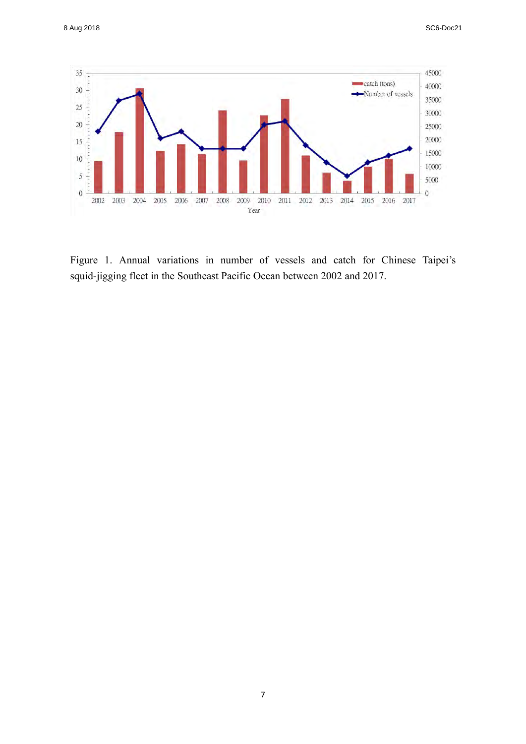

Figure 1. Annual variations in number of vessels and catch for Chinese Taipei's squid-jigging fleet in the Southeast Pacific Ocean between 2002 and 2017.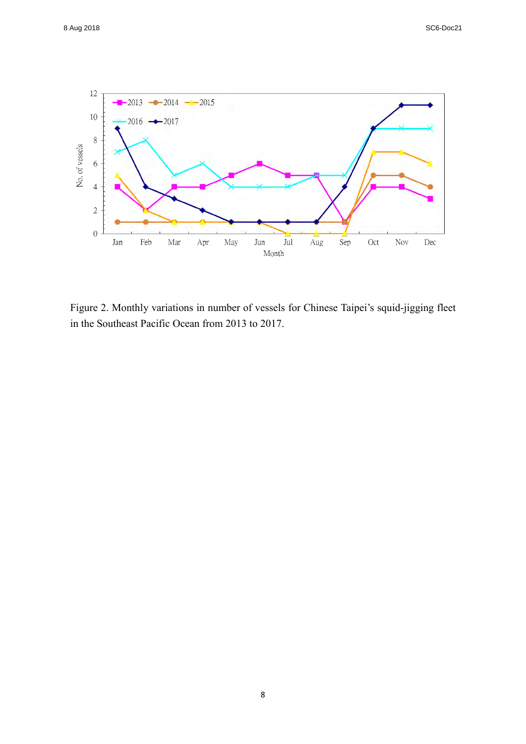

Figure 2. Monthly variations in number of vessels for Chinese Taipei's squid-jigging fleet in the Southeast Pacific Ocean from 2013 to 2017.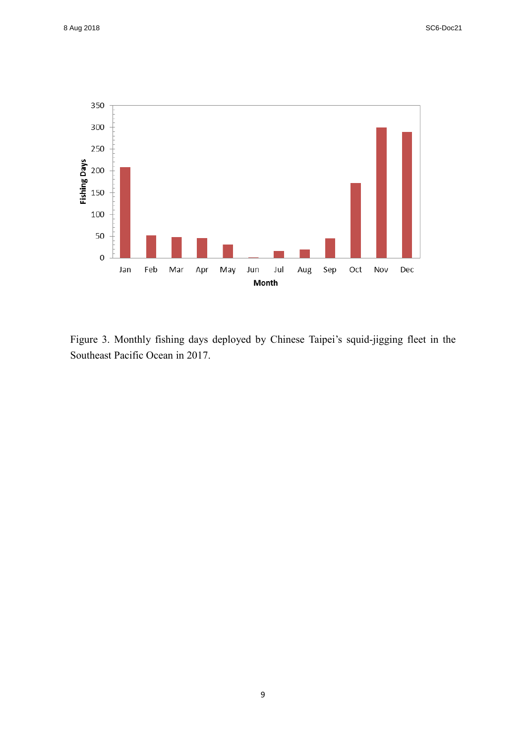

Figure 3. Monthly fishing days deployed by Chinese Taipei's squid-jigging fleet in the Southeast Pacific Ocean in 2017.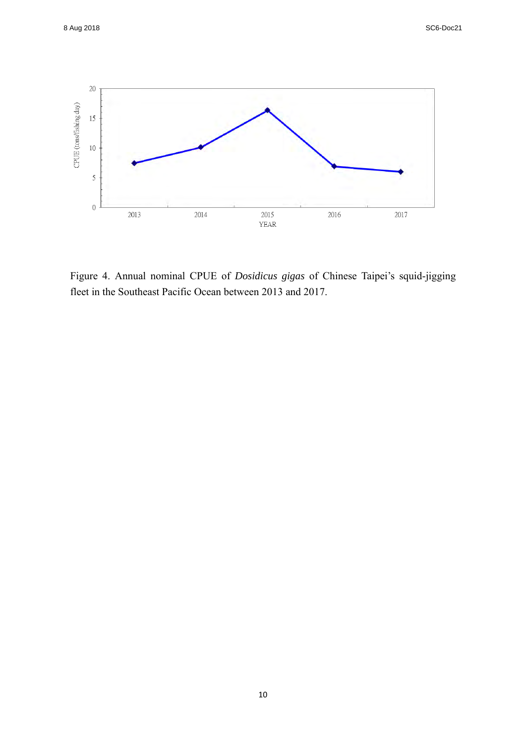

Figure 4. Annual nominal CPUE of *Dosidicus gigas* of Chinese Taipei's squid-jigging fleet in the Southeast Pacific Ocean between 2013 and 2017.